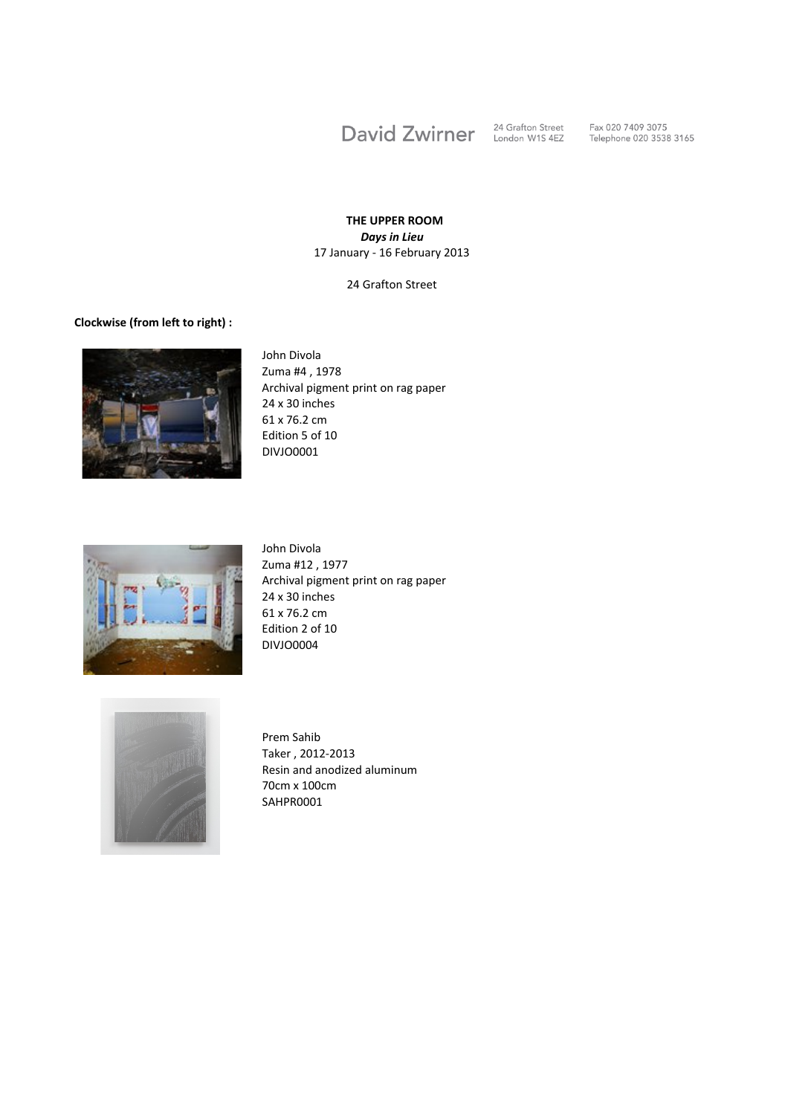David Zwirner

24 Grafton Street<br>London W1S 4EZ

Fax 020 7409 3075<br>Telephone 020 3538 3165

## **THE UPPER ROOM** *Days in Lieu* 17 January - 16 February 2013

24 Grafton Street

## **Clockwise (from left to right) :**



John Divola Zuma #4 , 1978 Archival pigment print on rag paper 24 x 30 inches 61 x 76.2 cm Edition 5 of 10 DIVJO0001



John Divola Zuma #12 , 1977 Archival pigment print on rag paper 24 x 30 inches 61 x 76.2 cm Edition 2 of 10 DIVJO0004



Prem Sahib Taker , 2012-2013 Resin and anodized aluminum 70cm x 100cm SAHPR0001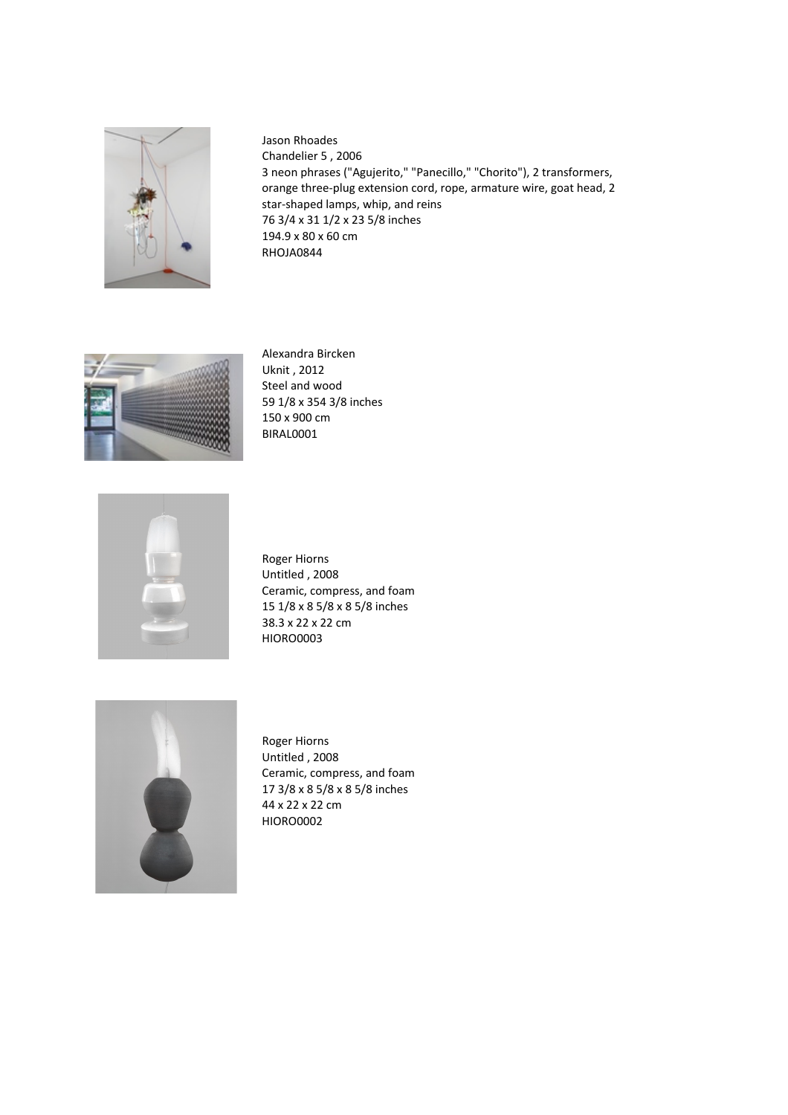

Jason Rhoades Chandelier 5, 2006 3 neon phrases ("Agujerito," "Panecillo," "Chorito"), 2 transformers, orange three-plug extension cord, rope, armature wire, goat head, 2 star-shaped lamps, whip, and reins 76 3/4 x 31 1/2 x 23 5/8 inches 194.9 x 80 x 60 cm RHOJA0844



Alexandra Bircken Uknit, 2012 Steel and wood 59 1/8 x 354 3/8 inches 150 x 900 cm BIRAL0001



Roger Hiorns Untitled, 2008 Ceramic, compress, and foam 15 1/8 x 8 5/8 x 8 5/8 inches 38.3 x 22 x 22 cm HIORO0003



Roger Hiorns Untitled, 2008 Ceramic, compress, and foam 17 3/8 x 8 5/8 x 8 5/8 inches 44 x 22 x 22 cm HIORO0002